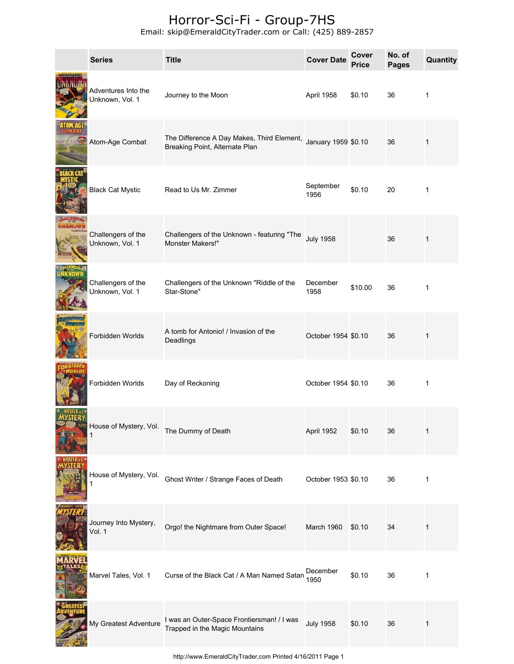## Horror-Sci-Fi - Group-7HS

Email: skip@EmeraldCityTrader.com or Call: (425) 889-2857

| <b>Series</b>                          | <b>Title</b>                                                                                     | <b>Cover Date</b>   | <b>Cover</b><br><b>Price</b> | No. of<br><b>Pages</b> | Quantity     |
|----------------------------------------|--------------------------------------------------------------------------------------------------|---------------------|------------------------------|------------------------|--------------|
| Adventures Into the<br>Unknown, Vol. 1 | Journey to the Moon                                                                              | April 1958          | \$0.10                       | 36                     | 1            |
| Atom-Age Combat                        | The Difference A Day Makes, Third Element, January 1959 \$0.10<br>Breaking Point, Alternate Plan |                     |                              | 36                     | 1            |
| <b>Black Cat Mystic</b>                | Read to Us Mr. Zimmer                                                                            | September<br>1956   | \$0.10                       | 20                     | $\mathbf{1}$ |
| Challengers of the<br>Unknown, Vol. 1  | Challengers of the Unknown - featuring "The<br>Monster Makers!"                                  | <b>July 1958</b>    |                              | 36                     | 1            |
| Challengers of the<br>Unknown, Vol. 1  | Challengers of the Unknown "Riddle of the<br>Star-Stone"                                         | December<br>1958    | \$10.00                      | 36                     | 1            |
| Forbidden Worlds                       | A tomb for Antonio! / Invasion of the<br>Deadlings                                               | October 1954 \$0.10 |                              | 36                     | 1            |
| Forbidden Worlds                       | Day of Reckoning                                                                                 | October 1954 \$0.10 |                              | 36                     | $\mathbf{1}$ |
| House of Mystery, Vol.<br>1            | The Dummy of Death                                                                               | April 1952          | \$0.10                       | 36                     | 1            |
| House of Mystery, Vol.                 | Ghost Writer / Strange Faces of Death                                                            | October 1953 \$0.10 |                              | 36                     | 1            |
| Journey Into Mystery,<br>Vol. 1        | Orgo! the Nightmare from Outer Space!                                                            | March 1960          | \$0.10                       | 34                     | 1            |
| Marvel Tales, Vol. 1                   | Curse of the Black Cat / A Man Named Satan                                                       | December<br>1950    | \$0.10                       | 36                     | 1            |
| My Greatest Adventure                  | I was an Outer-Space Frontiersman! / I was<br>Trapped in the Magic Mountains                     | <b>July 1958</b>    | \$0.10                       | 36                     | 1            |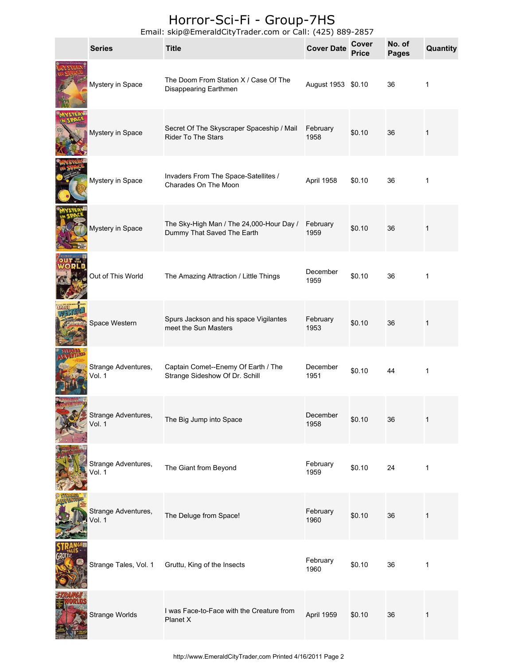## Horror-Sci-Fi - Group-7HS

Email: skip@EmeraldCityTrader.com or Call: (425) 889-2857

| <b>Series</b>                 | $\mathsf{m}$ and $\mathsf{m}$ be $\mathsf{m}$ and $\mathsf{m}$ and $\mathsf{m}$ and $\mathsf{m}$ and $\mathsf{m}$ and $\mathsf{m}$ and $\mathsf{m}$ and $\mathsf{m}$ and $\mathsf{m}$ and $\mathsf{m}$ and $\mathsf{m}$ and $\mathsf{m}$ and $\mathsf{m}$ and $\mathsf{m}$ and $\mathsf{m}$ and<br><b>Title</b> | <b>Cover Date</b>  | Cover<br><b>Price</b> | No. of<br><b>Pages</b> | Quantity     |
|-------------------------------|-----------------------------------------------------------------------------------------------------------------------------------------------------------------------------------------------------------------------------------------------------------------------------------------------------------------|--------------------|-----------------------|------------------------|--------------|
| Mystery in Space              | The Doom From Station X / Case Of The<br>Disappearing Earthmen                                                                                                                                                                                                                                                  | August 1953 \$0.10 |                       | 36                     | 1            |
| Mystery in Space              | Secret Of The Skyscraper Spaceship / Mail<br><b>Rider To The Stars</b>                                                                                                                                                                                                                                          | February<br>1958   | \$0.10                | 36                     | 1            |
| Mystery in Space              | Invaders From The Space-Satellites /<br>Charades On The Moon                                                                                                                                                                                                                                                    | April 1958         | \$0.10                | 36                     | $\mathbf 1$  |
| Mystery in Space              | The Sky-High Man / The 24,000-Hour Day /<br>Dummy That Saved The Earth                                                                                                                                                                                                                                          | February<br>1959   | \$0.10                | 36                     | $\mathbf{1}$ |
| Out of This World             | The Amazing Attraction / Little Things                                                                                                                                                                                                                                                                          | December<br>1959   | \$0.10                | 36                     | 1            |
| Space Western                 | Spurs Jackson and his space Vigilantes<br>meet the Sun Masters                                                                                                                                                                                                                                                  | February<br>1953   | \$0.10                | 36                     | 1            |
| Strange Adventures,<br>Vol. 1 | Captain Comet--Enemy Of Earth / The<br>Strange Sideshow Of Dr. Schill                                                                                                                                                                                                                                           | December<br>1951   | \$0.10                | 44                     | 1            |
| Strange Adventures,<br>Vol. 1 | The Big Jump into Space                                                                                                                                                                                                                                                                                         | December<br>1958   | \$0.10                | 36                     | 1            |
| Strange Adventures,<br>Vol. 1 | The Giant from Beyond                                                                                                                                                                                                                                                                                           | February<br>1959   | \$0.10                | 24                     | 1            |
| Strange Adventures,<br>Vol. 1 | The Deluge from Space!                                                                                                                                                                                                                                                                                          | February<br>1960   | \$0.10                | 36                     | 1            |
| Strange Tales, Vol. 1         | Gruttu, King of the Insects                                                                                                                                                                                                                                                                                     | February<br>1960   | \$0.10                | 36                     | 1            |
| Strange Worlds                | I was Face-to-Face with the Creature from<br>Planet X                                                                                                                                                                                                                                                           | April 1959         | \$0.10                | 36                     | 1            |